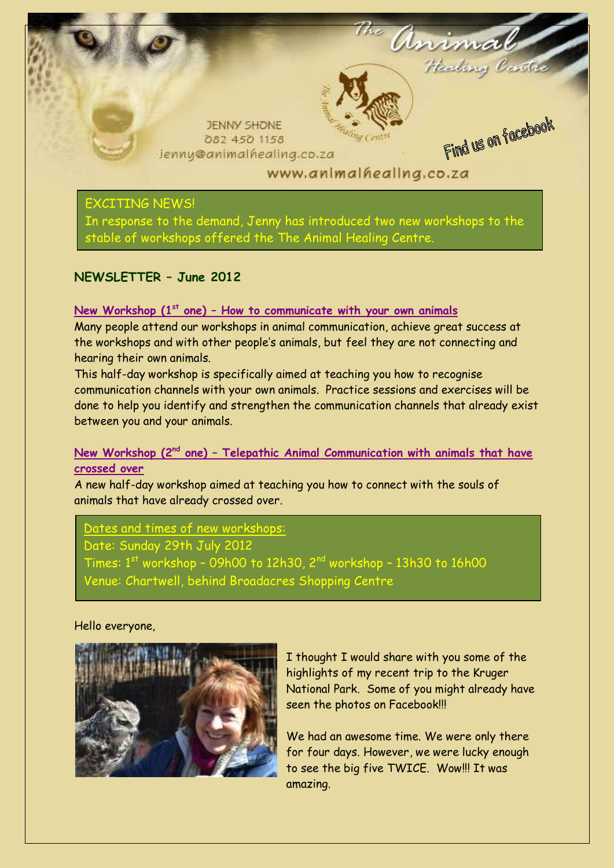

## EXCITING NEWS!

In response to the demand, Jenny has introduced two new workshops to the stable of workshops offered the The Animal Healing Centre.

## **NEWSLETTER – June 2012**

### **New Workshop (1st one) – How to communicate with your own animals**

Many people attend our workshops in animal communication, achieve great success at the workshops and with other people's animals, but feel they are not connecting and hearing their own animals.

This half-day workshop is specifically aimed at teaching you how to recognise communication channels with your own animals. Practice sessions and exercises will be done to help you identify and strengthen the communication channels that already exist between you and your animals.

## **New Workshop (2nd one) – Telepathic Animal Communication with animals that have crossed over**

A new half-day workshop aimed at teaching you how to connect with the souls of animals that have already crossed over.

Dates and times of new workshops: Date: Sunday 29th July 2012 Times:  $1<sup>st</sup>$  workshop - 09h00 to 12h30,  $2<sup>nd</sup>$  workshop - 13h30 to 16h00 Venue: Chartwell, behind Broadacres Shopping Centre

#### Hello everyone,



I thought I would share with you some of the highlights of my recent trip to the Kruger National Park. Some of you might already have seen the photos on Facebook!!!

We had an awesome time. We were only there for four days. However, we were lucky enough to see the big five TWICE. Wow!!! It was amazing.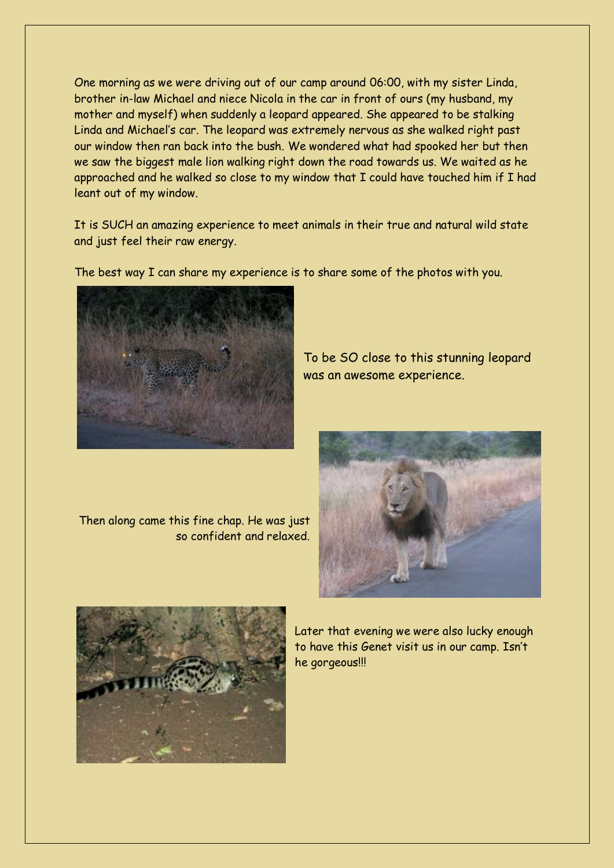One morning as we were driving out of our camp around 06:00, with my sister Linda, brother in-law Michael and niece Nicola in the car in front of ours (my husband, my mother and myself) when suddenly a leopard appeared. She appeared to be stalking Linda and Michael's car. The leopard was extremely nervous as she walked right past our window then ran back into the bush. We wondered what had spooked her but then we saw the biggest male lion walking right down the road towards us. We waited as he approached and he walked so close to my window that I could have touched him if I had leant out of my window.

It is SUCH an amazing experience to meet animals in their true and natural wild state and just feel their raw energy.

The best way I can share my experience is to share some of the photos with you.



To be SO close to this stunning leopard was an awesome experience.

Then along came this fine chap. He was just so confident and relaxed.



Later that evening we were also lucky enough to have this Genet visit us in our camp. Isn't he gorgeous!!!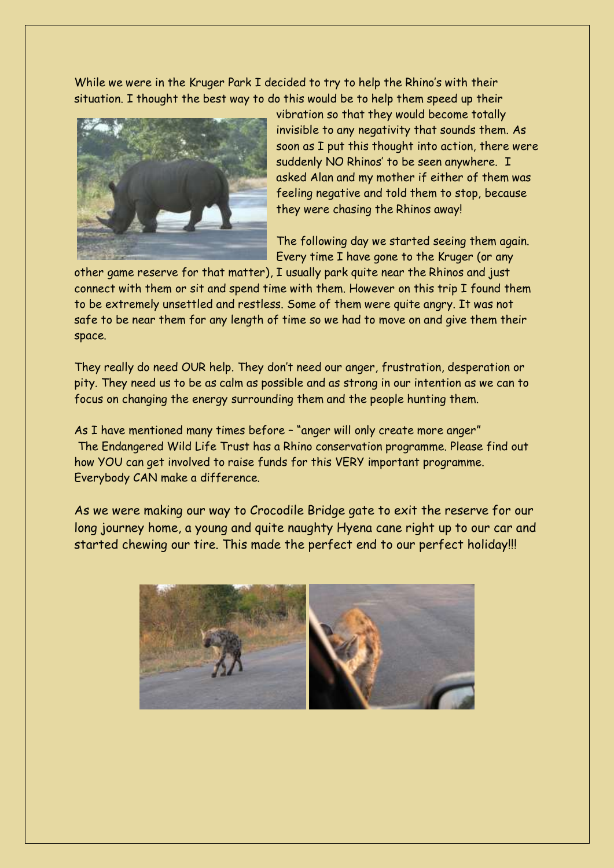While we were in the Kruger Park I decided to try to help the Rhino's with their situation. I thought the best way to do this would be to help them speed up their



vibration so that they would become totally invisible to any negativity that sounds them. As soon as I put this thought into action, there were suddenly NO Rhinos' to be seen anywhere. I asked Alan and my mother if either of them was feeling negative and told them to stop, because they were chasing the Rhinos away!

The following day we started seeing them again. Every time I have gone to the Kruger (or any

other game reserve for that matter), I usually park quite near the Rhinos and just connect with them or sit and spend time with them. However on this trip I found them to be extremely unsettled and restless. Some of them were quite angry. It was not safe to be near them for any length of time so we had to move on and give them their space.

They really do need OUR help. They don't need our anger, frustration, desperation or pity. They need us to be as calm as possible and as strong in our intention as we can to focus on changing the energy surrounding them and the people hunting them.

As I have mentioned many times before – "anger will only create more anger" The Endangered Wild Life Trust has a Rhino conservation programme. Please find out how YOU can get involved to raise funds for this VERY important programme. Everybody CAN make a difference.

As we were making our way to Crocodile Bridge gate to exit the reserve for our long journey home, a young and quite naughty Hyena cane right up to our car and started chewing our tire. This made the perfect end to our perfect holiday!!!

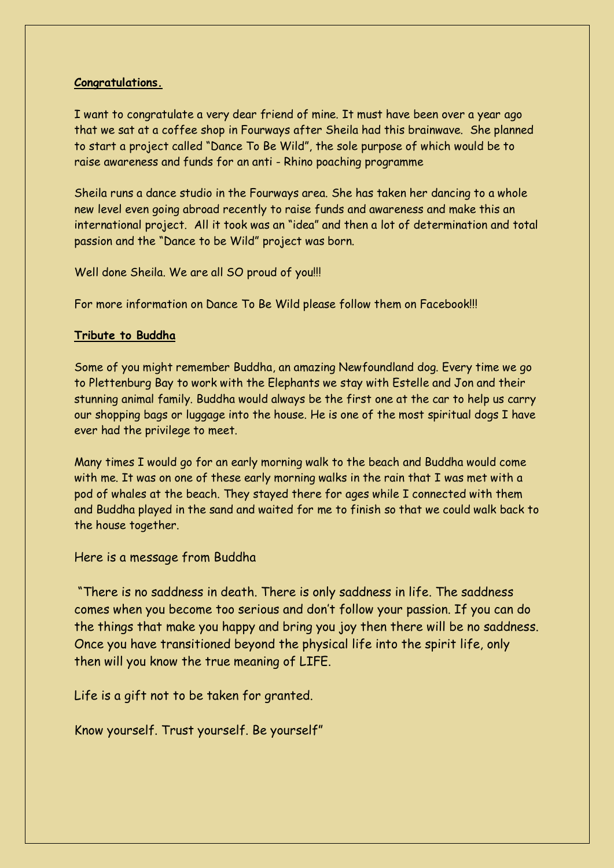### **Congratulations.**

I want to congratulate a very dear friend of mine. It must have been over a year ago that we sat at a coffee shop in Fourways after Sheila had this brainwave. She planned to start a project called "Dance To Be Wild", the sole purpose of which would be to raise awareness and funds for an anti - Rhino poaching programme

Sheila runs a dance studio in the Fourways area. She has taken her dancing to a whole new level even going abroad recently to raise funds and awareness and make this an international project. All it took was an "idea" and then a lot of determination and total passion and the "Dance to be Wild" project was born.

Well done Sheila. We are all SO proud of you!!!

For more information on Dance To Be Wild please follow them on Facebook!!!

### **Tribute to Buddha**

Some of you might remember Buddha, an amazing Newfoundland dog. Every time we go to Plettenburg Bay to work with the Elephants we stay with Estelle and Jon and their stunning animal family. Buddha would always be the first one at the car to help us carry our shopping bags or luggage into the house. He is one of the most spiritual dogs I have ever had the privilege to meet.

Many times I would go for an early morning walk to the beach and Buddha would come with me. It was on one of these early morning walks in the rain that I was met with a pod of whales at the beach. They stayed there for ages while I connected with them and Buddha played in the sand and waited for me to finish so that we could walk back to the house together.

Here is a message from Buddha

"There is no saddness in death. There is only saddness in life. The saddness comes when you become too serious and don't follow your passion. If you can do the things that make you happy and bring you joy then there will be no saddness. Once you have transitioned beyond the physical life into the spirit life, only then will you know the true meaning of LIFE.

Life is a gift not to be taken for granted.

Know yourself. Trust yourself. Be yourself"